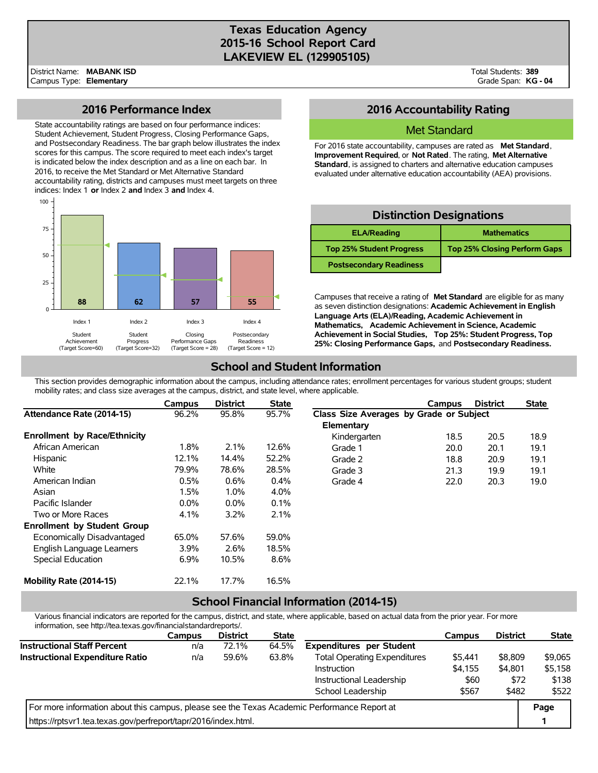# **Texas Education Agency 2015-16 School Report Card LAKEVIEW EL (129905105)**

### **2016 Performance Index**

State accountability ratings are based on four performance indices: Student Achievement, Student Progress, Closing Performance Gaps, and Postsecondary Readiness. The bar graph below illustrates the index scores for this campus. The score required to meet each index's target is indicated below the index description and as a line on each bar. In 2016, to receive the Met Standard or Met Alternative Standard accountability rating, districts and campuses must meet targets on three indices: Index 1 **or** Index 2 **and** Index 3 **and** Index 4.



# **2016 Accountability Rating**

#### Met Standard

For 2016 state accountability, campuses are rated as **Met Standard**, **Improvement Required**, or **Not Rated**. The rating, **Met Alternative Standard**, is assigned to charters and alternative education campuses evaluated under alternative education accountability (AEA) provisions.

| <b>Distinction Designations</b> |                                     |  |  |  |  |  |  |
|---------------------------------|-------------------------------------|--|--|--|--|--|--|
| <b>ELA/Reading</b>              | <b>Mathematics</b>                  |  |  |  |  |  |  |
| <b>Top 25% Student Progress</b> | <b>Top 25% Closing Perform Gaps</b> |  |  |  |  |  |  |
| <b>Postsecondary Readiness</b>  |                                     |  |  |  |  |  |  |

Campuses that receive a rating of **Met Standard** are eligible for as many as seven distinction designations: **Academic Achievement in English Language Arts (ELA)/Reading, Academic Achievement in Mathematics, Academic Achievement in Science, Academic Achievement in Social Studies, Top 25%: Student Progress, Top 25%: Closing Performance Gaps,** and **Postsecondary Readiness.**

# **School and Student Information**

This section provides demographic information about the campus, including attendance rates; enrollment percentages for various student groups; student mobility rates; and class size averages at the campus, district, and state level, where applicable.

|                                     | Campus  | <b>District</b> | <b>State</b> |                                         | Campus | <b>District</b> | <b>State</b> |  |
|-------------------------------------|---------|-----------------|--------------|-----------------------------------------|--------|-----------------|--------------|--|
| Attendance Rate (2014-15)           | 96.2%   | 95.8%           | 95.7%        | Class Size Averages by Grade or Subject |        |                 |              |  |
|                                     |         |                 |              | Elementary                              |        |                 |              |  |
| <b>Enrollment by Race/Ethnicity</b> |         |                 |              | Kindergarten                            | 18.5   | 20.5            | 18.9         |  |
| African American                    | 1.8%    | 2.1%            | 12.6%        | Grade 1                                 | 20.0   | 20.1            | 19.1         |  |
| <b>Hispanic</b>                     | 12.1%   | 14.4%           | 52.2%        | Grade 2                                 | 18.8   | 20.9            | 19.1         |  |
| White                               | 79.9%   | 78.6%           | 28.5%        | Grade 3                                 | 21.3   | 19.9            | 19.1         |  |
| American Indian                     | 0.5%    | 0.6%            | $0.4\%$      | Grade 4                                 | 22.0   | 20.3            | 19.0         |  |
| Asian                               | 1.5%    | 1.0%            | 4.0%         |                                         |        |                 |              |  |
| Pacific Islander                    | $0.0\%$ | $0.0\%$         | 0.1%         |                                         |        |                 |              |  |
| Two or More Races                   | 4.1%    | 3.2%            | 2.1%         |                                         |        |                 |              |  |
| <b>Enrollment by Student Group</b>  |         |                 |              |                                         |        |                 |              |  |
| Economically Disadvantaged          | 65.0%   | 57.6%           | 59.0%        |                                         |        |                 |              |  |
| English Language Learners           | 3.9%    | 2.6%            | 18.5%        |                                         |        |                 |              |  |
| Special Education                   | 6.9%    | 10.5%           | 8.6%         |                                         |        |                 |              |  |
| Mobility Rate (2014-15)             | 22.1%   | 17.7%           | 16.5%        |                                         |        |                 |              |  |

### **School Financial Information (2014-15)**

Various financial indicators are reported for the campus, district, and state, where applicable, based on actual data from the prior year. For more information, see http://tea.texas.gov/financialstandardreports/.

|                                                                                             | <b>Campus</b> | <b>District</b> | <b>State</b> |                                     | Campus  | <b>District</b> | <b>State</b> |
|---------------------------------------------------------------------------------------------|---------------|-----------------|--------------|-------------------------------------|---------|-----------------|--------------|
| <b>Instructional Staff Percent</b>                                                          | n/a           | 72.1%           | 64.5%        | <b>Expenditures per Student</b>     |         |                 |              |
| Instructional Expenditure Ratio                                                             | n/a           | 59.6%           | 63.8%        | <b>Total Operating Expenditures</b> | \$5,441 | \$8,809         | \$9,065      |
|                                                                                             |               |                 |              | Instruction                         | \$4.155 | \$4,801         | \$5,158      |
|                                                                                             |               |                 |              | Instructional Leadership            | \$60    | \$72            | \$138        |
|                                                                                             |               |                 |              | School Leadership                   | \$567   | \$482           | \$522        |
| For more information about this campus, please see the Texas Academic Performance Report at |               |                 |              |                                     |         |                 |              |
| https://rptsvr1.tea.texas.gov/perfreport/tapr/2016/index.html.                              |               |                 |              |                                     |         |                 |              |